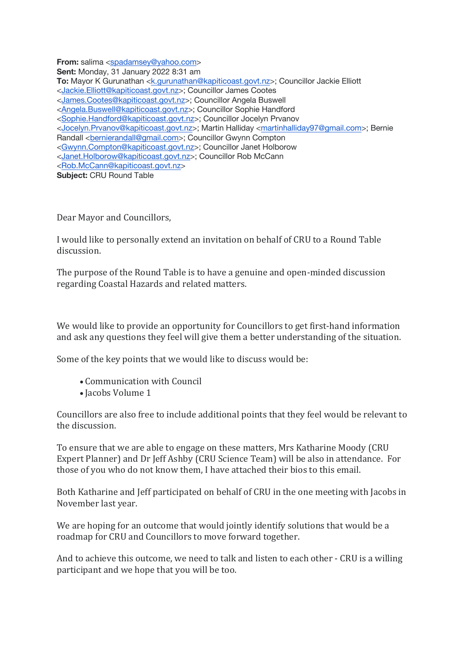**From:** salima <spadamsey@yahoo.com>

**Sent:** Monday, 31 January 2022 8:31 am **To:** Mayor K Gurunathan <k.gurunathan@kapiticoast.govt.nz>; Councillor Jackie Elliott <Jackie.Elliott@kapiticoast.govt.nz>; Councillor James Cootes <James.Cootes@kapiticoast.govt.nz>; Councillor Angela Buswell <Angela.Buswell@kapiticoast.govt.nz>; Councillor Sophie Handford <Sophie.Handford@kapiticoast.govt.nz>; Councillor Jocelyn Prvanov <Jocelyn.Prvanov@kapiticoast.govt.nz>; Martin Halliday <martinhalliday97@gmail.com>; Bernie Randall <bernierandall@gmail.com>; Councillor Gwynn Compton <Gwynn.Compton@kapiticoast.govt.nz>; Councillor Janet Holborow <Janet.Holborow@kapiticoast.govt.nz>; Councillor Rob McCann <Rob.McCann@kapiticoast.govt.nz> **Subject:** CRU Round Table

Dear Mayor and Councillors,

I would like to personally extend an invitation on behalf of CRU to a Round Table discussion.

The purpose of the Round Table is to have a genuine and open-minded discussion regarding Coastal Hazards and related matters.

We would like to provide an opportunity for Councillors to get first-hand information and ask any questions they feel will give them a better understanding of the situation.

Some of the key points that we would like to discuss would be:

- Communication with Council
- Jacobs Volume 1

Councillors are also free to include additional points that they feel would be relevant to the discussion

To ensure that we are able to engage on these matters, Mrs Katharine Moody (CRU) Expert Planner) and Dr Jeff Ashby (CRU Science Team) will be also in attendance. For those of you who do not know them, I have attached their bios to this email.

Both Katharine and Jeff participated on behalf of CRU in the one meeting with Jacobs in November last year.

We are hoping for an outcome that would jointly identify solutions that would be a roadmap for CRU and Councillors to move forward together.

And to achieve this outcome, we need to talk and listen to each other - CRU is a willing participant and we hope that you will be too.